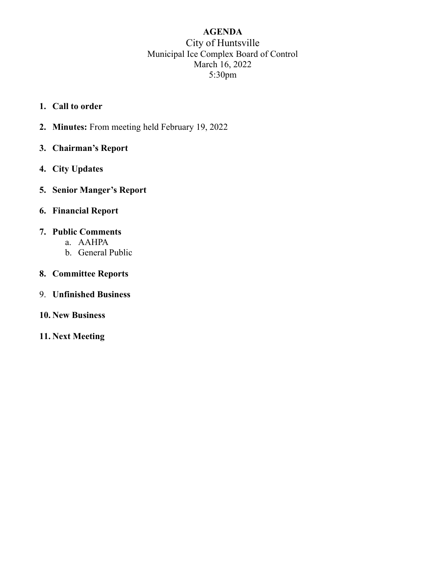## AGENDA City of Huntsville Municipal Ice Complex Board of Control March 16, 2022 5:30pm

- 1. Call to order
- 2. Minutes: From meeting held February 19, 2022
- 3. Chairman's Report
- 4. City Updates
- 5. Senior Manger's Report
- 6. Financial Report

#### 7. Public Comments

- a. AAHPA
- b. General Public
- 8. Committee Reports
- 9. Unfinished Business
- 10. New Business
- 11. Next Meeting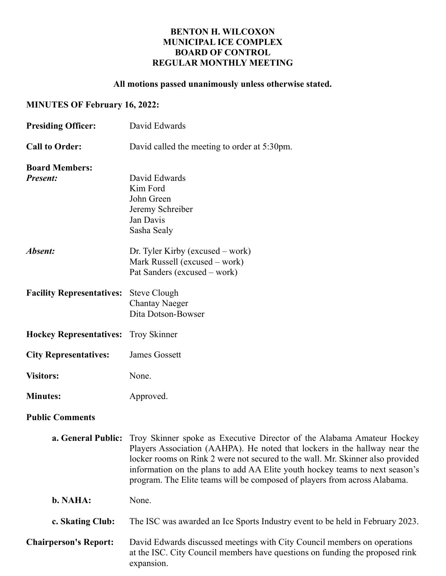### BENTON H. WILCOXON MUNICIPAL ICE COMPLEX BOARD OF CONTROL REGULAR MONTHLY MEETING

## All motions passed unanimously unless otherwise stated.

# MINUTES OF February 16, 2022:

| <b>Presiding Officer:</b>                | David Edwards                                                                                                                                                                                                                                                                                                                                                                                                                 |
|------------------------------------------|-------------------------------------------------------------------------------------------------------------------------------------------------------------------------------------------------------------------------------------------------------------------------------------------------------------------------------------------------------------------------------------------------------------------------------|
| <b>Call to Order:</b>                    | David called the meeting to order at 5:30pm.                                                                                                                                                                                                                                                                                                                                                                                  |
| <b>Board Members:</b><br><b>Present:</b> | David Edwards<br>Kim Ford<br>John Green<br>Jeremy Schreiber<br>Jan Davis<br>Sasha Sealy                                                                                                                                                                                                                                                                                                                                       |
| Absent:                                  | Dr. Tyler Kirby (excused $-$ work)<br>Mark Russell (excused – work)<br>Pat Sanders (excused – work)                                                                                                                                                                                                                                                                                                                           |
| <b>Facility Representatives:</b>         | <b>Steve Clough</b><br><b>Chantay Naeger</b><br>Dita Dotson-Bowser                                                                                                                                                                                                                                                                                                                                                            |
| <b>Hockey Representatives:</b>           | <b>Troy Skinner</b>                                                                                                                                                                                                                                                                                                                                                                                                           |
| <b>City Representatives:</b>             | James Gossett                                                                                                                                                                                                                                                                                                                                                                                                                 |
| <b>Visitors:</b>                         | None.                                                                                                                                                                                                                                                                                                                                                                                                                         |
| <b>Minutes:</b>                          | Approved.                                                                                                                                                                                                                                                                                                                                                                                                                     |
| <b>Public Comments</b>                   |                                                                                                                                                                                                                                                                                                                                                                                                                               |
|                                          | <b>a. General Public:</b> Troy Skinner spoke as Executive Director of the Alabama Amateur Hockey<br>Players Association (AAHPA). He noted that lockers in the hallway near the<br>locker rooms on Rink 2 were not secured to the wall. Mr. Skinner also provided<br>information on the plans to add AA Elite youth hockey teams to next season's<br>program. The Elite teams will be composed of players from across Alabama. |
| b. NAHA:                                 | None.                                                                                                                                                                                                                                                                                                                                                                                                                         |
| c. Skating Club:                         | The ISC was awarded an Ice Sports Industry event to be held in February 2023.                                                                                                                                                                                                                                                                                                                                                 |
| <b>Chairperson's Report:</b>             | David Edwards discussed meetings with City Council members on operations<br>at the ISC. City Council members have questions on funding the proposed rink<br>expansion.                                                                                                                                                                                                                                                        |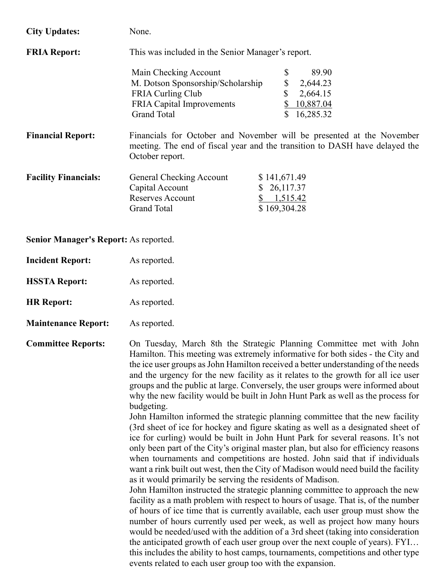| <b>City Updates:</b>        | None.                                             |                                                                                                                                                      |
|-----------------------------|---------------------------------------------------|------------------------------------------------------------------------------------------------------------------------------------------------------|
| <b>FRIA Report:</b>         | This was included in the Senior Manager's report. |                                                                                                                                                      |
|                             | Main Checking Account                             | \$<br>89.90                                                                                                                                          |
|                             | M. Dotson Sponsorship/Scholarship                 | \$<br>2,644.23                                                                                                                                       |
|                             | FRIA Curling Club                                 | \$<br>2,664.15                                                                                                                                       |
|                             | <b>FRIA Capital Improvements</b>                  | 10,887.04<br>\$                                                                                                                                      |
|                             | <b>Grand Total</b>                                | 16,285.32                                                                                                                                            |
| <b>Financial Report:</b>    | October report.                                   | Financials for October and November will be presented at the November<br>meeting. The end of fiscal year and the transition to DASH have delayed the |
| <b>Facility Financials:</b> | General Checking Account                          | \$141,671.49                                                                                                                                         |
|                             | Capital Account                                   | 26,117.37<br><sup>S</sup>                                                                                                                            |
|                             | <b>Reserves Account</b>                           | 1,515.42                                                                                                                                             |
|                             | <b>Grand Total</b>                                | \$169,304.28                                                                                                                                         |
|                             |                                                   |                                                                                                                                                      |

Senior Manager's Report: As reported.

| <b>Incident Report:</b> | As reported. |
|-------------------------|--------------|
|                         |              |

HSSTA Report: As reported.

HR Report: As reported.

Maintenance Report: As reported.

Committee Reports: On Tuesday, March 8th the Strategic Planning Committee met with John Hamilton. This meeting was extremely informative for both sides - the City and the ice user groups as John Hamilton received a better understanding of the needs and the urgency for the new facility as it relates to the growth for all ice user groups and the public at large. Conversely, the user groups were informed about why the new facility would be built in John Hunt Park as well as the process for budgeting.

> John Hamilton informed the strategic planning committee that the new facility (3rd sheet of ice for hockey and figure skating as well as a designated sheet of ice for curling) would be built in John Hunt Park for several reasons. It's not only been part of the City's original master plan, but also for efficiency reasons when tournaments and competitions are hosted. John said that if individuals want a rink built out west, then the City of Madison would need build the facility as it would primarily be serving the residents of Madison.

> John Hamilton instructed the strategic planning committee to approach the new facility as a math problem with respect to hours of usage. That is, of the number of hours of ice time that is currently available, each user group must show the number of hours currently used per week, as well as project how many hours would be needed/used with the addition of a 3rd sheet (taking into consideration the anticipated growth of each user group over the next couple of years). FYI… this includes the ability to host camps, tournaments, competitions and other type events related to each user group too with the expansion.